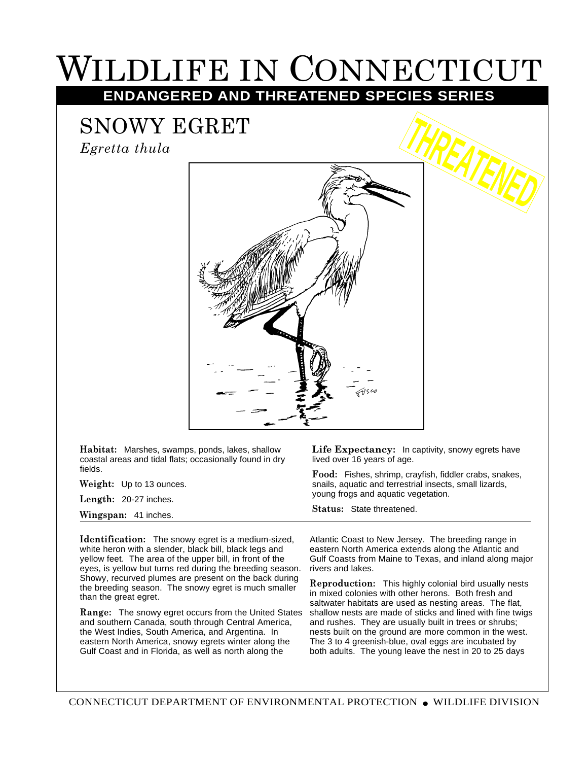## WILDLIFE IN CONNECTICUT

**ENDANGERED AND THREATENED SPECIES SERIES**

## SNOWY EGRET

*Egretta thula*



**Habitat:** Marshes, swamps, ponds, lakes, shallow coastal areas and tidal flats; occasionally found in dry fields.

**Weight:** Up to 13 ounces.

**Length:** 20-27 inches.

**Wingspan:** 41 inches.

**Identification:** The snowy egret is a medium-sized, white heron with a slender, black bill, black legs and yellow feet. The area of the upper bill, in front of the eyes, is yellow but turns red during the breeding season. Showy, recurved plumes are present on the back during the breeding season. The snowy egret is much smaller than the great egret.

and southern Canada, south through Central America, the West Indies, South America, and Argentina. In eastern North America, snowy egrets winter along the Gulf Coast and in Florida, as well as north along the

Life Expectancy: In captivity, snowy egrets have lived over 16 years of age.

**Food:** Fishes, shrimp, crayfish, fiddler crabs, snakes, snails, aquatic and terrestrial insects, small lizards, young frogs and aquatic vegetation.

**Status:** State threatened.

Atlantic Coast to New Jersey. The breeding range in eastern North America extends along the Atlantic and Gulf Coasts from Maine to Texas, and inland along major rivers and lakes.

Range: The snowy egret occurs from the United States shallow nests are made of sticks and lined with fine twigs **Reproduction:** This highly colonial bird usually nests in mixed colonies with other herons. Both fresh and saltwater habitats are used as nesting areas. The flat, and rushes. They are usually built in trees or shrubs; nests built on the ground are more common in the west. The 3 to 4 greenish-blue, oval eggs are incubated by both adults. The young leave the nest in 20 to 25 days

CONNECTICUT DEPARTMENT OF ENVIRONMENTAL PROTECTION ● WILDLIFE DIVISION